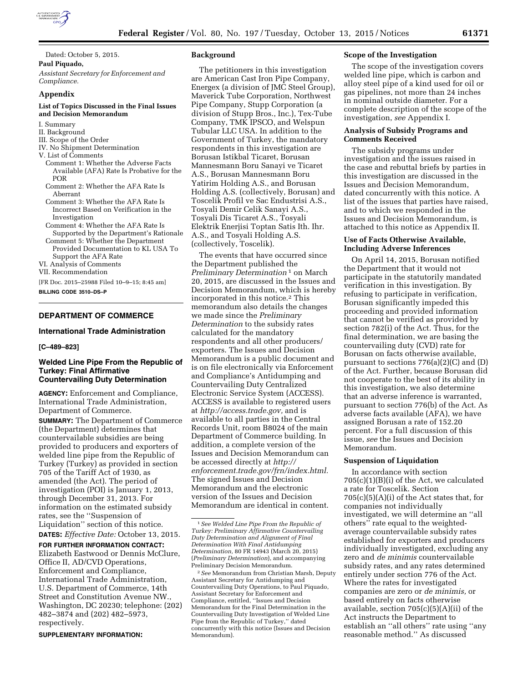

Dated: October 5, 2015.

**Paul Piquado,** 

*Assistant Secretary for Enforcement and Compliance.* 

## **Appendix**

#### **List of Topics Discussed in the Final Issues and Decision Memorandum**

- I. Summary
- II. Background
- III. Scope of the Order
- IV. No Shipment Determination
- V. List of Comments
- Comment 1: Whether the Adverse Facts Available (AFA) Rate Is Probative for the POR
- Comment 2: Whether the AFA Rate Is Aberrant
- Comment 3: Whether the AFA Rate Is Incorrect Based on Verification in the Investigation
- Comment 4: Whether the AFA Rate Is Supported by the Department's Rationale
- Comment 5: Whether the Department Provided Documentation to KL USA To Support the AFA Rate
- VI. Analysis of Comments
- VII. Recommendation

[FR Doc. 2015–25988 Filed 10–9–15; 8:45 am] **BILLING CODE 3510–DS–P** 

## **DEPARTMENT OF COMMERCE**

# **International Trade Administration**

#### **[C–489–823]**

# **Welded Line Pipe From the Republic of Turkey: Final Affirmative Countervailing Duty Determination**

**AGENCY:** Enforcement and Compliance, International Trade Administration, Department of Commerce.

**SUMMARY:** The Department of Commerce (the Department) determines that countervailable subsidies are being provided to producers and exporters of welded line pipe from the Republic of Turkey (Turkey) as provided in section 705 of the Tariff Act of 1930, as amended (the Act). The period of investigation (POI) is January 1, 2013, through December 31, 2013. For information on the estimated subsidy rates, see the ''Suspension of Liquidation'' section of this notice.

**DATES:** *Effective Date:* October 13, 2015. **FOR FURTHER INFORMATION CONTACT:**  Elizabeth Eastwood or Dennis McClure, Office II, AD/CVD Operations, Enforcement and Compliance, International Trade Administration, U.S. Department of Commerce, 14th Street and Constitution Avenue NW., Washington, DC 20230; telephone: (202) 482–3874 and (202) 482–5973, respectively.

**SUPPLEMENTARY INFORMATION:** 

### **Background**

The petitioners in this investigation are American Cast Iron Pipe Company, Energex (a division of JMC Steel Group), Maverick Tube Corporation, Northwest Pipe Company, Stupp Corporation (a division of Stupp Bros., Inc.), Tex-Tube Company, TMK IPSCO, and Welspun Tubular LLC USA. In addition to the Government of Turkey, the mandatory respondents in this investigation are Borusan Istikbal Ticaret, Borusan Mannesmann Boru Sanayi ve Ticaret A.S., Borusan Mannesmann Boru Yatirim Holding A.S., and Borusan Holding A.S. (collectively, Borusan) and Toscelik Profil ve Sac Endustrisi A.S., Tosyali Demir Celik Sanayi A.S., Tosyali Dis Ticaret A.S., Tosyali Elektrik Enerjisi Toptan Satis Ith. Ihr. A.S., and Tosyali Holding A.S. (collectively, Toscelik).

The events that have occurred since the Department published the *Preliminary Determination* 1 on March 20, 2015, are discussed in the Issues and Decision Memorandum, which is hereby incorporated in this notice.2 This memorandum also details the changes we made since the *Preliminary Determination* to the subsidy rates calculated for the mandatory respondents and all other producers/ exporters. The Issues and Decision Memorandum is a public document and is on file electronically via Enforcement and Compliance's Antidumping and Countervailing Duty Centralized Electronic Service System (ACCESS). ACCESS is available to registered users at *[http://access.trade.gov,](http://access.trade.gov)* and is available to all parties in the Central Records Unit, room B8024 of the main Department of Commerce building. In addition, a complete version of the Issues and Decision Memorandum can be accessed directly at *[http://](http://enforcement.trade.gov/frn/index.html) [enforcement.trade.gov/frn/index.html.](http://enforcement.trade.gov/frn/index.html)*  The signed Issues and Decision Memorandum and the electronic version of the Issues and Decision Memorandum are identical in content.

#### **Scope of the Investigation**

The scope of the investigation covers welded line pipe, which is carbon and alloy steel pipe of a kind used for oil or gas pipelines, not more than 24 inches in nominal outside diameter. For a complete description of the scope of the investigation, *see* Appendix I.

#### **Analysis of Subsidy Programs and Comments Received**

The subsidy programs under investigation and the issues raised in the case and rebuttal briefs by parties in this investigation are discussed in the Issues and Decision Memorandum, dated concurrently with this notice. A list of the issues that parties have raised, and to which we responded in the Issues and Decision Memorandum, is attached to this notice as Appendix II.

## **Use of Facts Otherwise Available, Including Adverse Inferences**

On April 14, 2015, Borusan notified the Department that it would not participate in the statutorily mandated verification in this investigation. By refusing to participate in verification, Borusan significantly impeded this proceeding and provided information that cannot be verified as provided by section 782(i) of the Act. Thus, for the final determination, we are basing the countervailing duty (CVD) rate for Borusan on facts otherwise available, pursuant to sections 776(a)(2)(C) and (D) of the Act. Further, because Borusan did not cooperate to the best of its ability in this investigation, we also determine that an adverse inference is warranted, pursuant to section 776(b) of the Act. As adverse facts available (AFA), we have assigned Borusan a rate of 152.20 percent. For a full discussion of this issue, *see* the Issues and Decision Memorandum.

#### **Suspension of Liquidation**

In accordance with section  $705(c)(1)(B)(i)$  of the Act, we calculated a rate for Toscelik. Section  $705(c)(5)(A)(i)$  of the Act states that, for companies not individually investigated, we will determine an ''all others'' rate equal to the weightedaverage countervailable subsidy rates established for exporters and producers individually investigated, excluding any zero and *de minimis* countervailable subsidy rates, and any rates determined entirely under section 776 of the Act. Where the rates for investigated companies are zero or *de minimis,* or based entirely on facts otherwise available, section 705(c)(5)(A)(ii) of the Act instructs the Department to establish an ''all others'' rate using ''any reasonable method.'' As discussed

<sup>1</sup>*See Welded Line Pipe From the Republic of Turkey: Preliminary Affirmative Countervailing Duty Determination and Alignment of Final Determination With Final Antidumping Determination,* 80 FR 14943 (March 20, 2015) (*Preliminary Determination*), and accompanying Preliminary Decision Memorandum.

<sup>2</sup>*See* Memorandum from Christian Marsh, Deputy Assistant Secretary for Antidumping and Countervailing Duty Operations, to Paul Piquado, Assistant Secretary for Enforcement and Compliance, entitled, ''Issues and Decision Memorandum for the Final Determination in the Countervailing Duty Investigation of Welded Line Pipe from the Republic of Turkey,'' dated concurrently with this notice (Issues and Decision Memorandum).